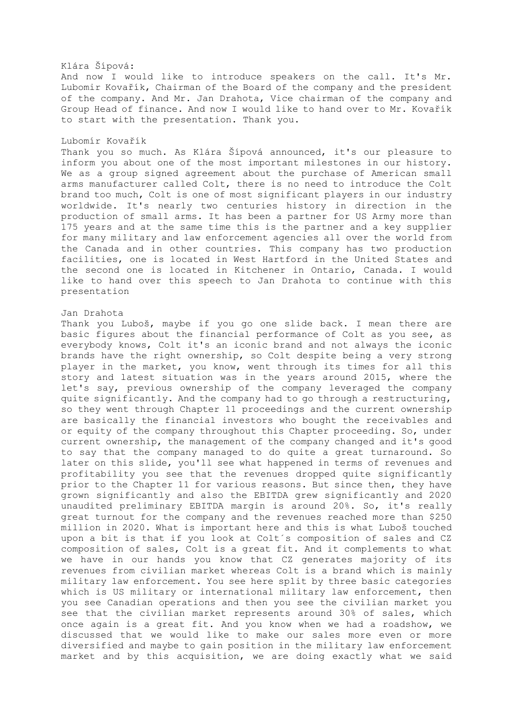#### Klára Šípová:

And now I would like to introduce speakers on the call. It's Mr. Lubomir Kovařík, Chairman of the Board of the company and the president of the company. And Mr. Jan Drahota, Vice chairman of the company and Group Head of finance. And now I would like to hand over to Mr. Kovařík to start with the presentation. Thank you.

## Lubomír Kovařík

Thank you so much. As Klára Šípová announced, it's our pleasure to inform you about one of the most important milestones in our history. We as a group signed agreement about the purchase of American small arms manufacturer called Colt, there is no need to introduce the Colt brand too much, Colt is one of most significant players in our industry worldwide. It's nearly two centuries history in direction in the production of small arms. It has been a partner for US Army more than 175 years and at the same time this is the partner and a key supplier for many military and law enforcement agencies all over the world from the Canada and in other countries. This company has two production facilities, one is located in West Hartford in the United States and the second one is located in Kitchener in Ontario, Canada. I would like to hand over this speech to Jan Drahota to continue with this presentation

#### Jan Drahota

Thank you Luboš, maybe if you go one slide back. I mean there are basic figures about the financial performance of Colt as you see, as everybody knows, Colt it's an iconic brand and not always the iconic brands have the right ownership, so Colt despite being a very strong player in the market, you know, went through its times for all this story and latest situation was in the years around 2015, where the let's say, previous ownership of the company leveraged the company quite significantly. And the company had to go through a restructuring, so they went through Chapter 11 proceedings and the current ownership are basically the financial investors who bought the receivables and or equity of the company throughout this Chapter proceeding. So, under current ownership, the management of the company changed and it's good to say that the company managed to do quite a great turnaround. So later on this slide, you'll see what happened in terms of revenues and profitability you see that the revenues dropped quite significantly prior to the Chapter 11 for various reasons. But since then, they have grown significantly and also the EBITDA grew significantly and 2020 unaudited preliminary EBITDA margin is around 20%. So, it's really great turnout for the company and the revenues reached more than \$250 million in 2020. What is important here and this is what Luboš touched upon a bit is that if you look at Colt´s composition of sales and CZ composition of sales, Colt is a great fit. And it complements to what we have in our hands you know that CZ generates majority of its revenues from civilian market whereas Colt is a brand which is mainly military law enforcement. You see here split by three basic categories which is US military or international military law enforcement, then you see Canadian operations and then you see the civilian market you see that the civilian market represents around 30% of sales, which once again is a great fit. And you know when we had a roadshow, we discussed that we would like to make our sales more even or more diversified and maybe to gain position in the military law enforcement market and by this acquisition, we are doing exactly what we said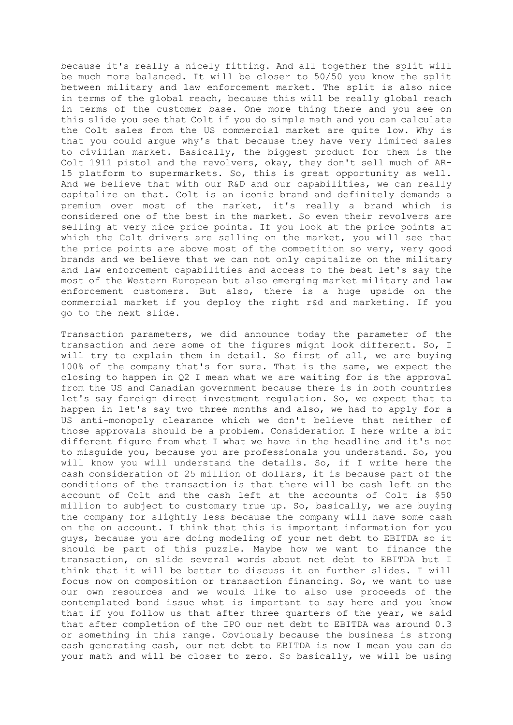because it's really a nicely fitting. And all together the split will be much more balanced. It will be closer to 50/50 you know the split between military and law enforcement market. The split is also nice in terms of the global reach, because this will be really global reach in terms of the customer base. One more thing there and you see on this slide you see that Colt if you do simple math and you can calculate the Colt sales from the US commercial market are quite low. Why is that you could argue why's that because they have very limited sales to civilian market. Basically, the biggest product for them is the Colt 1911 pistol and the revolvers, okay, they don't sell much of AR-15 platform to supermarkets. So, this is great opportunity as well. And we believe that with our R&D and our capabilities, we can really capitalize on that. Colt is an iconic brand and definitely demands a premium over most of the market, it's really a brand which is considered one of the best in the market. So even their revolvers are selling at very nice price points. If you look at the price points at which the Colt drivers are selling on the market, you will see that the price points are above most of the competition so very, very good brands and we believe that we can not only capitalize on the military and law enforcement capabilities and access to the best let's say the most of the Western European but also emerging market military and law enforcement customers. But also, there is a huge upside on the commercial market if you deploy the right r&d and marketing. If you go to the next slide.

Transaction parameters, we did announce today the parameter of the transaction and here some of the figures might look different. So, I will try to explain them in detail. So first of all, we are buying 100% of the company that's for sure. That is the same, we expect the closing to happen in Q2 I mean what we are waiting for is the approval from the US and Canadian government because there is in both countries let's say foreign direct investment regulation. So, we expect that to happen in let's say two three months and also, we had to apply for a US anti-monopoly clearance which we don't believe that neither of those approvals should be a problem. Consideration I here write a bit different figure from what I what we have in the headline and it's not to misguide you, because you are professionals you understand. So, you will know you will understand the details. So, if I write here the cash consideration of 25 million of dollars, it is because part of the conditions of the transaction is that there will be cash left on the account of Colt and the cash left at the accounts of Colt is \$50 million to subject to customary true up. So, basically, we are buying the company for slightly less because the company will have some cash on the on account. I think that this is important information for you guys, because you are doing modeling of your net debt to EBITDA so it should be part of this puzzle. Maybe how we want to finance the transaction, on slide several words about net debt to EBITDA but I think that it will be better to discuss it on further slides. I will focus now on composition or transaction financing. So, we want to use our own resources and we would like to also use proceeds of the contemplated bond issue what is important to say here and you know that if you follow us that after three quarters of the year, we said that after completion of the IPO our net debt to EBITDA was around 0.3 or something in this range. Obviously because the business is strong cash generating cash, our net debt to EBITDA is now I mean you can do your math and will be closer to zero. So basically, we will be using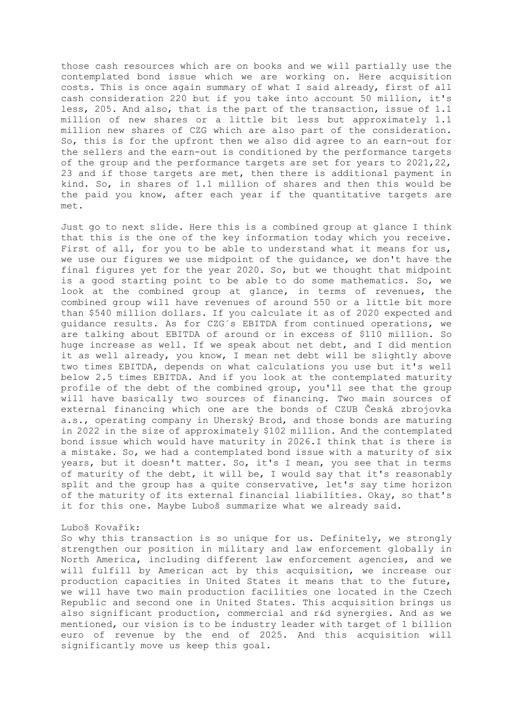those cash resources which are on books and we will partially use the contemplated bond issue which we are working on. Here acquisition costs. This is once again summary of what I said already, first of all cash consideration 220 but if you take into account 50 million, it's less, 205. And also, that is the part of the transaction, issue of 1.1 million of new shares or a little bit less but approximately 1.1 million new shares of CZG which are also part of the consideration. So, this is for the upfront then we also did agree to an earn-out for the sellers and the earn-out is conditioned by the performance targets of the group and the performance targets are set for years to 2021,22, 23 and if those targets are met, then there is additional payment in kind. So, in shares of 1.1 million of shares and then this would be the paid you know, after each year if the quantitative targets are met.

Just go to next slide. Here this is a combined group at glance I think that this is the one of the key information today which you receive. First of all, for you to be able to understand what it means for us, we use our figures we use midpoint of the guidance, we don't have the final figures yet for the year 2020. So, but we thought that midpoint is a good starting point to be able to do some mathematics. So, we look at the combined group at glance, in terms of revenues, the combined group will have revenues of around 550 or a little bit more than \$540 million dollars. If you calculate it as of 2020 expected and guidance results. As for CZG´s EBITDA from continued operations, we are talking about EBITDA of around or in excess of \$110 million. So huge increase as well. If we speak about net debt, and I did mention it as well already, you know, I mean net debt will be slightly above two times EBITDA, depends on what calculations you use but it's well below 2.5 times EBITDA. And if you look at the contemplated maturity profile of the debt of the combined group, you'll see that the group will have basically two sources of financing. Two main sources of external financing which one are the bonds of CZUB Česká zbrojovka a.s., operating company in Uherský Brod, and those bonds are maturing in 2022 in the size of approximately \$102 million. And the contemplated bond issue which would have maturity in 2026.I think that is there is a mistake. So, we had a contemplated bond issue with a maturity of six years, but it doesn't matter. So, it's I mean, you see that in terms of maturity of the debt, it will be, I would say that it's reasonably split and the group has a quite conservative, let's say time horizon of the maturity of its external financial liabilities. Okay, so that's it for this one. Maybe Luboš summarize what we already said.

### Luboš Kovařík:

So why this transaction is so unique for us. Definitely, we strongly strengthen our position in military and law enforcement globally in North America, including different law enforcement agencies, and we will fulfill by American act by this acquisition, we increase our production capacities in United States it means that to the future, we will have two main production facilities one located in the Czech Republic and second one in United States. This acquisition brings us also significant production, commercial and r&d synergies. And as we mentioned, our vision is to be industry leader with target of 1 billion euro of revenue by the end of 2025. And this acquisition will significantly move us keep this goal.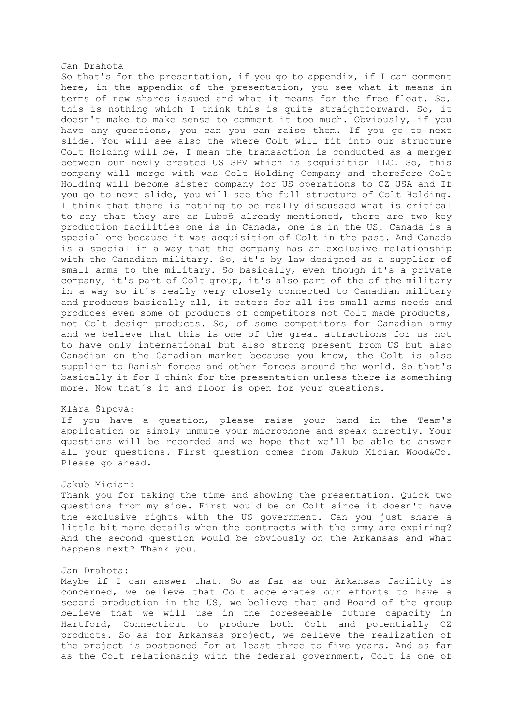#### Jan Drahota

So that's for the presentation, if you go to appendix, if I can comment here, in the appendix of the presentation, you see what it means in terms of new shares issued and what it means for the free float. So, this is nothing which I think this is quite straightforward. So, it doesn't make to make sense to comment it too much. Obviously, if you have any questions, you can you can raise them. If you go to next slide. You will see also the where Colt will fit into our structure Colt Holding will be, I mean the transaction is conducted as a merger between our newly created US SPV which is acquisition LLC. So, this company will merge with was Colt Holding Company and therefore Colt Holding will become sister company for US operations to CZ USA and If you go to next slide, you will see the full structure of Colt Holding. I think that there is nothing to be really discussed what is critical to say that they are as Luboš already mentioned, there are two key production facilities one is in Canada, one is in the US. Canada is a special one because it was acquisition of Colt in the past. And Canada is a special in a way that the company has an exclusive relationship with the Canadian military. So, it's by law designed as a supplier of small arms to the military. So basically, even though it's a private company, it's part of Colt group, it's also part of the of the military in a way so it's really very closely connected to Canadian military and produces basically all, it caters for all its small arms needs and produces even some of products of competitors not Colt made products, not Colt design products. So, of some competitors for Canadian army and we believe that this is one of the great attractions for us not to have only international but also strong present from US but also Canadian on the Canadian market because you know, the Colt is also supplier to Danish forces and other forces around the world. So that's basically it for I think for the presentation unless there is something more. Now that´s it and floor is open for your questions.

### Klára Šípová:

If you have a question, please raise your hand in the Team's application or simply unmute your microphone and speak directly. Your questions will be recorded and we hope that we'll be able to answer all your questions. First question comes from Jakub Mician Wood&Co. Please go ahead.

## Jakub Mician:

Thank you for taking the time and showing the presentation. Quick two questions from my side. First would be on Colt since it doesn't have the exclusive rights with the US government. Can you just share a little bit more details when the contracts with the army are expiring? And the second question would be obviously on the Arkansas and what happens next? Thank you.

# Jan Drahota:

Maybe if I can answer that. So as far as our Arkansas facility is concerned, we believe that Colt accelerates our efforts to have a second production in the US, we believe that and Board of the group believe that we will use in the foreseeable future capacity in Hartford, Connecticut to produce both Colt and potentially CZ products. So as for Arkansas project, we believe the realization of the project is postponed for at least three to five years. And as far as the Colt relationship with the federal government, Colt is one of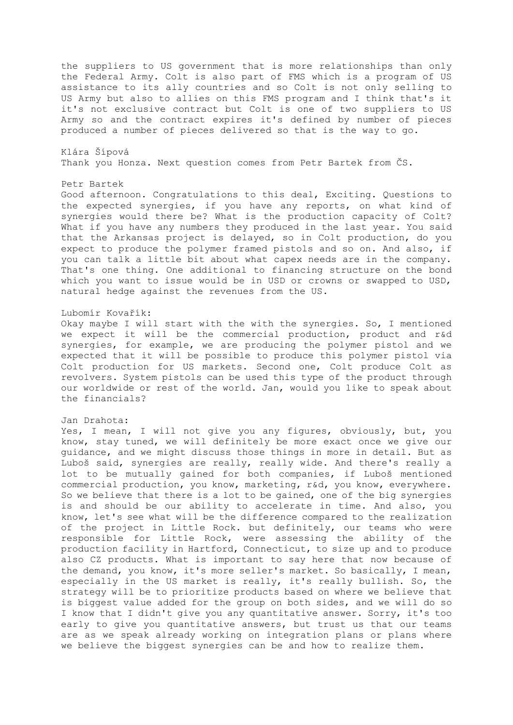the suppliers to US government that is more relationships than only the Federal Army. Colt is also part of FMS which is a program of US assistance to its ally countries and so Colt is not only selling to US Army but also to allies on this FMS program and I think that's it it's not exclusive contract but Colt is one of two suppliers to US Army so and the contract expires it's defined by number of pieces produced a number of pieces delivered so that is the way to go.

Klára Šípová Thank you Honza. Next question comes from Petr Bartek from ČS.

## Petr Bartek

Good afternoon. Congratulations to this deal, Exciting. Questions to the expected synergies, if you have any reports, on what kind of synergies would there be? What is the production capacity of Colt? What if you have any numbers they produced in the last year. You said that the Arkansas project is delayed, so in Colt production, do you expect to produce the polymer framed pistols and so on. And also, if you can talk a little bit about what capex needs are in the company. That's one thing. One additional to financing structure on the bond which you want to issue would be in USD or crowns or swapped to USD, natural hedge against the revenues from the US.

#### Lubomír Kovařík:

Okay maybe I will start with the with the synergies. So, I mentioned we expect it will be the commercial production, product and r&d synergies, for example, we are producing the polymer pistol and we expected that it will be possible to produce this polymer pistol via Colt production for US markets. Second one, Colt produce Colt as revolvers. System pistols can be used this type of the product through our worldwide or rest of the world. Jan, would you like to speak about the financials?

#### Jan Drahota:

Yes, I mean, I will not give you any figures, obviously, but, you know, stay tuned, we will definitely be more exact once we give our guidance, and we might discuss those things in more in detail. But as Luboš said, synergies are really, really wide. And there's really a lot to be mutually gained for both companies, if Luboš mentioned commercial production, you know, marketing, r&d, you know, everywhere. So we believe that there is a lot to be gained, one of the big synergies is and should be our ability to accelerate in time. And also, you know, let's see what will be the difference compared to the realization of the project in Little Rock. but definitely, our teams who were responsible for Little Rock, were assessing the ability of the production facility in Hartford, Connecticut, to size up and to produce also CZ products. What is important to say here that now because of the demand, you know, it's more seller's market. So basically, I mean, especially in the US market is really, it's really bullish. So, the strategy will be to prioritize products based on where we believe that is biggest value added for the group on both sides, and we will do so I know that I didn't give you any quantitative answer. Sorry, it's too early to give you quantitative answers, but trust us that our teams are as we speak already working on integration plans or plans where we believe the biggest synergies can be and how to realize them.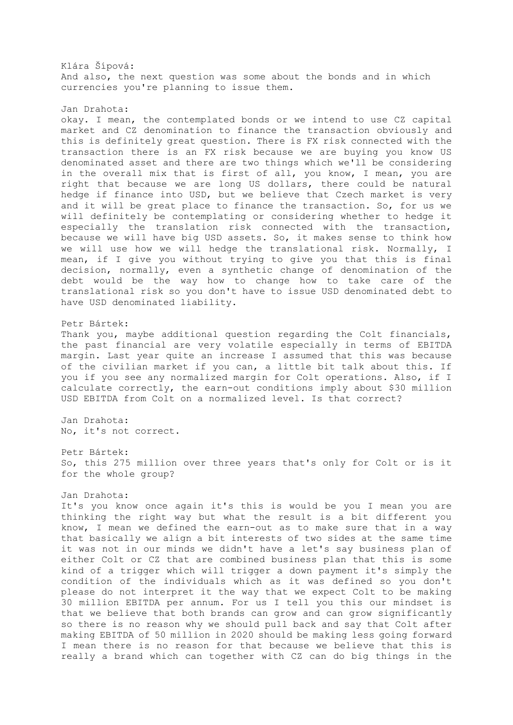Klára Šípová: And also, the next question was some about the bonds and in which currencies you're planning to issue them.

Jan Drahota:

okay. I mean, the contemplated bonds or we intend to use CZ capital market and CZ denomination to finance the transaction obviously and this is definitely great question. There is FX risk connected with the transaction there is an FX risk because we are buying you know US denominated asset and there are two things which we'll be considering in the overall mix that is first of all, you know, I mean, you are right that because we are long US dollars, there could be natural hedge if finance into USD, but we believe that Czech market is very and it will be great place to finance the transaction. So, for us we will definitely be contemplating or considering whether to hedge it especially the translation risk connected with the transaction, because we will have big USD assets. So, it makes sense to think how we will use how we will hedge the translational risk. Normally, I mean, if I give you without trying to give you that this is final decision, normally, even a synthetic change of denomination of the debt would be the way how to change how to take care of the translational risk so you don't have to issue USD denominated debt to have USD denominated liability.

### Petr Bártek:

Thank you, maybe additional question regarding the Colt financials, the past financial are very volatile especially in terms of EBITDA margin. Last year quite an increase I assumed that this was because of the civilian market if you can, a little bit talk about this. If you if you see any normalized margin for Colt operations. Also, if I calculate correctly, the earn-out conditions imply about \$30 million USD EBITDA from Colt on a normalized level. Is that correct?

Jan Drahota: No, it's not correct.

Petr Bártek: So, this 275 million over three years that's only for Colt or is it for the whole group?

## Jan Drahota:

It's you know once again it's this is would be you I mean you are thinking the right way but what the result is a bit different you know, I mean we defined the earn-out as to make sure that in a way that basically we align a bit interests of two sides at the same time it was not in our minds we didn't have a let's say business plan of either Colt or CZ that are combined business plan that this is some kind of a trigger which will trigger a down payment it's simply the condition of the individuals which as it was defined so you don't please do not interpret it the way that we expect Colt to be making 30 million EBITDA per annum. For us I tell you this our mindset is that we believe that both brands can grow and can grow significantly so there is no reason why we should pull back and say that Colt after making EBITDA of 50 million in 2020 should be making less going forward I mean there is no reason for that because we believe that this is really a brand which can together with CZ can do big things in the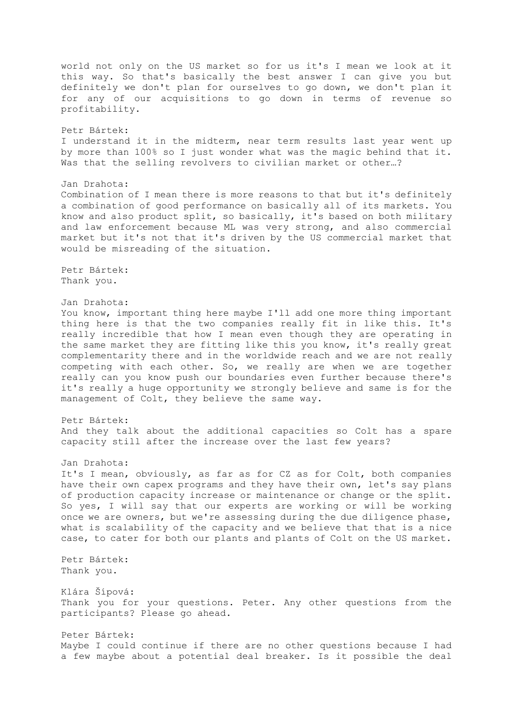world not only on the US market so for us it's I mean we look at it this way. So that's basically the best answer I can give you but definitely we don't plan for ourselves to go down, we don't plan it for any of our acquisitions to go down in terms of revenue so profitability. Petr Bártek: I understand it in the midterm, near term results last year went up by more than 100% so I just wonder what was the magic behind that it. Was that the selling revolvers to civilian market or other…? Jan Drahota: Combination of I mean there is more reasons to that but it's definitely a combination of good performance on basically all of its markets. You know and also product split, so basically, it's based on both military and law enforcement because ML was very strong, and also commercial market but it's not that it's driven by the US commercial market that would be misreading of the situation. Petr Bártek: Thank you. Jan Drahota: You know, important thing here maybe I'll add one more thing important thing here is that the two companies really fit in like this. It's really incredible that how I mean even though they are operating in the same market they are fitting like this you know, it's really great complementarity there and in the worldwide reach and we are not really competing with each other. So, we really are when we are together really can you know push our boundaries even further because there's it's really a huge opportunity we strongly believe and same is for the management of Colt, they believe the same way. Petr Bártek: And they talk about the additional capacities so Colt has a spare capacity still after the increase over the last few years? Jan Drahota: It's I mean, obviously, as far as for CZ as for Colt, both companies have their own capex programs and they have their own, let's say plans of production capacity increase or maintenance or change or the split. So yes, I will say that our experts are working or will be working once we are owners, but we're assessing during the due diligence phase, what is scalability of the capacity and we believe that that is a nice case, to cater for both our plants and plants of Colt on the US market. Petr Bártek: Thank you. Klára Šípová: Thank you for your questions. Peter. Any other questions from the participants? Please go ahead. Peter Bártek: Maybe I could continue if there are no other questions because I had a few maybe about a potential deal breaker. Is it possible the deal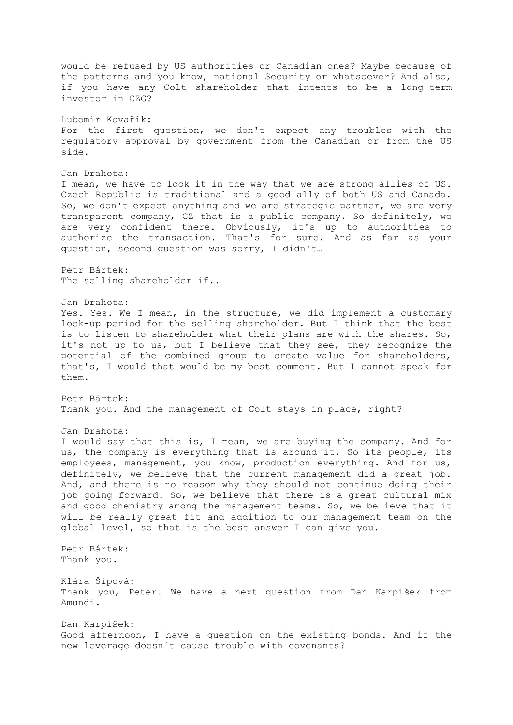would be refused by US authorities or Canadian ones? Maybe because of the patterns and you know, national Security or whatsoever? And also, if you have any Colt shareholder that intents to be a long-term investor in CZG? Lubomír Kovařík: For the first question, we don't expect any troubles with the regulatory approval by government from the Canadian or from the US side. Jan Drahota: I mean, we have to look it in the way that we are strong allies of US. Czech Republic is traditional and a good ally of both US and Canada. So, we don't expect anything and we are strategic partner, we are very transparent company, CZ that is a public company. So definitely, we are very confident there. Obviously, it's up to authorities to authorize the transaction. That's for sure. And as far as your question, second question was sorry, I didn't… Petr Bártek: The selling shareholder if.. Jan Drahota: Yes. Yes. We I mean, in the structure, we did implement a customary lock-up period for the selling shareholder. But I think that the best is to listen to shareholder what their plans are with the shares. So, it's not up to us, but I believe that they see, they recognize the potential of the combined group to create value for shareholders, that's, I would that would be my best comment. But I cannot speak for them. Petr Bártek: Thank you. And the management of Colt stays in place, right? Jan Drahota: I would say that this is, I mean, we are buying the company. And for us, the company is everything that is around it. So its people, its employees, management, you know, production everything. And for us, definitely, we believe that the current management did a great job. And, and there is no reason why they should not continue doing their job going forward. So, we believe that there is a great cultural mix and good chemistry among the management teams. So, we believe that it will be really great fit and addition to our management team on the global level, so that is the best answer I can give you. Petr Bártek: Thank you. Klára Šípová: Thank you, Peter. We have a next question from Dan Karpíšek from Amundi. Dan Karpíšek: Good afternoon, I have a question on the existing bonds. And if the new leverage doesn´t cause trouble with covenants?